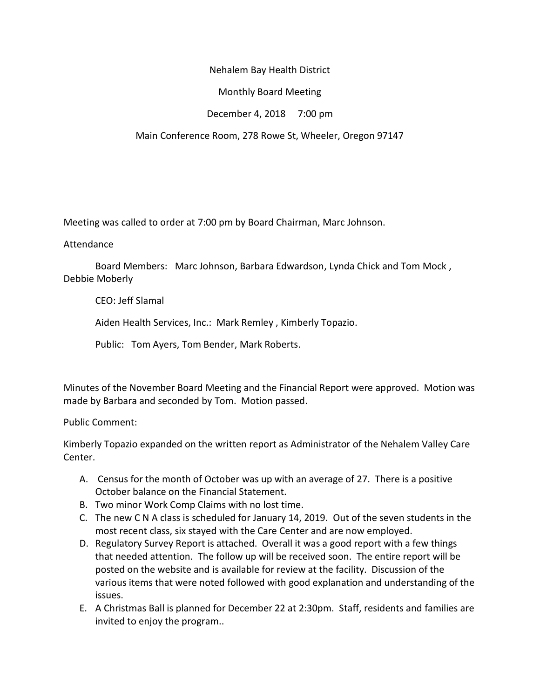## Nehalem Bay Health District

## Monthly Board Meeting

# December 4, 2018 7:00 pm

## Main Conference Room, 278 Rowe St, Wheeler, Oregon 97147

Meeting was called to order at 7:00 pm by Board Chairman, Marc Johnson.

#### Attendance

Board Members: Marc Johnson, Barbara Edwardson, Lynda Chick and Tom Mock , Debbie Moberly

CEO: Jeff Slamal

Aiden Health Services, Inc.: Mark Remley , Kimberly Topazio.

Public: Tom Ayers, Tom Bender, Mark Roberts.

Minutes of the November Board Meeting and the Financial Report were approved. Motion was made by Barbara and seconded by Tom. Motion passed.

Public Comment:

Kimberly Topazio expanded on the written report as Administrator of the Nehalem Valley Care Center.

- A. Census for the month of October was up with an average of 27. There is a positive October balance on the Financial Statement.
- B. Two minor Work Comp Claims with no lost time.
- C. The new C N A class is scheduled for January 14, 2019. Out of the seven students in the most recent class, six stayed with the Care Center and are now employed.
- D. Regulatory Survey Report is attached. Overall it was a good report with a few things that needed attention. The follow up will be received soon. The entire report will be posted on the website and is available for review at the facility. Discussion of the various items that were noted followed with good explanation and understanding of the issues.
- E. A Christmas Ball is planned for December 22 at 2:30pm. Staff, residents and families are invited to enjoy the program..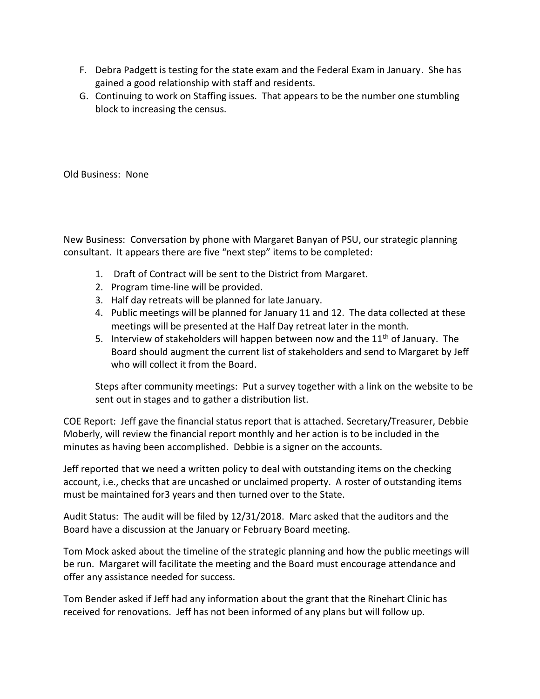- F. Debra Padgett is testing for the state exam and the Federal Exam in January. She has gained a good relationship with staff and residents.
- G. Continuing to work on Staffing issues. That appears to be the number one stumbling block to increasing the census.

Old Business: None

New Business: Conversation by phone with Margaret Banyan of PSU, our strategic planning consultant. It appears there are five "next step" items to be completed:

- 1. Draft of Contract will be sent to the District from Margaret.
- 2. Program time-line will be provided.
- 3. Half day retreats will be planned for late January.
- 4. Public meetings will be planned for January 11 and 12. The data collected at these meetings will be presented at the Half Day retreat later in the month.
- 5. Interview of stakeholders will happen between now and the  $11<sup>th</sup>$  of January. The Board should augment the current list of stakeholders and send to Margaret by Jeff who will collect it from the Board.

Steps after community meetings: Put a survey together with a link on the website to be sent out in stages and to gather a distribution list.

COE Report: Jeff gave the financial status report that is attached. Secretary/Treasurer, Debbie Moberly, will review the financial report monthly and her action is to be included in the minutes as having been accomplished. Debbie is a signer on the accounts.

Jeff reported that we need a written policy to deal with outstanding items on the checking account, i.e., checks that are uncashed or unclaimed property. A roster of outstanding items must be maintained for3 years and then turned over to the State.

Audit Status: The audit will be filed by 12/31/2018. Marc asked that the auditors and the Board have a discussion at the January or February Board meeting.

Tom Mock asked about the timeline of the strategic planning and how the public meetings will be run. Margaret will facilitate the meeting and the Board must encourage attendance and offer any assistance needed for success.

Tom Bender asked if Jeff had any information about the grant that the Rinehart Clinic has received for renovations. Jeff has not been informed of any plans but will follow up.